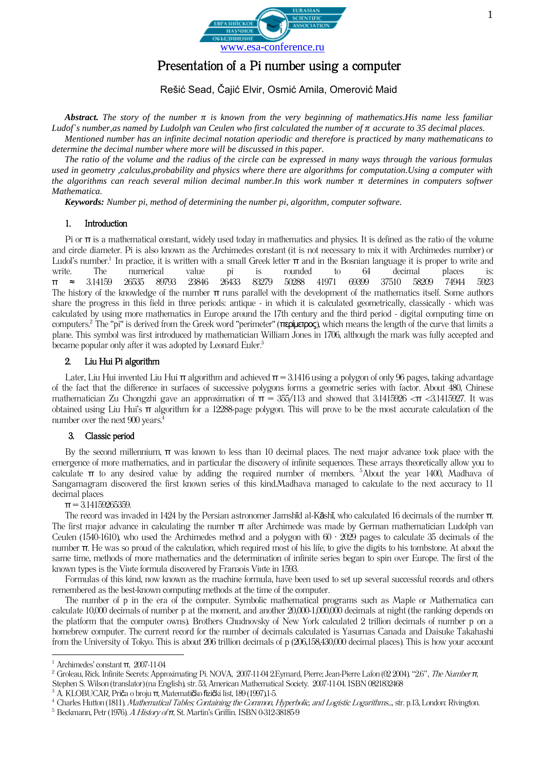

# Presentation of a Pi number using a computer

Rešić Sead, Čajić Elvir, Osmić Amila, Omerović Maid

Abstract. The story of the number  $\pi$  is known from the very beginning of mathematics. His name less familiar Ludof's number, as named by Ludolph van Ceulen who first calculated the number of  $\pi$  accurate to 35 decimal places.

*Mentioned number has an infinite decimal notation aperiodic and therefore is practiced by many mathematicans to determine the decimal number where more will be discussed in this paper.*

*The ratio of the volume and the radius of the circle can be expressed in many ways through the various formulas used in geometry ,calculus,probability and physics where there are algorithms for computation.Using a computer with the algorithms can reach several milion decimal number.In this work number*  $\pi$  *determines in computers softwer Mathematica.*

*Keywords: Number pi, method of determining the number pi, algorithm, computer software.*

#### 1. Introduction

Pi or  $\pi$  is a mathematical constant, widely used today in mathematics and physics. It is defined as the ratio of the volume and circle diameter. Pi is also known as the Archimedes constant (it is not necessary to mix it with Archimedes number) or Ludol's number.<sup>1</sup> In practice, it is written with a small Greek letter  $\pi$  and in the Bosnian language it is proper to write and write. The numerical value pi is rounded to 64 decimal places is: π ≈ 3.14159 26535 89793 23846 26433 83279 50288 41971 69399 37510 58209 74944 5923 The history of the knowledge of the number  $\pi$  runs parallel with the development of the mathematics itself. Some authors share the progress in this field in three periods: antique - in which it is calculated geometrically, classically - which was calculated by using more mathematics in Europe around the 17th century and the third period - digital computing time on computers.<sup>2</sup> The "pi" is derived from the Greek word "perimeter" (περίμετρος), which means the length of the curve that limits a plane. This symbol was first introduced by mathematician William Jones in 1706, although the mark was fully accepted and became popular only after it was adopted by Leonard Euler.<sup>3</sup>

### 2. Liu Hui Pi algorithm

Later, Liu Hui invented Liu Hui π algorithm and achieved  $\pi = 3.1416$  using a polygon of only 96 pages, taking advantage of the fact that the difference in surfaces of successive polygons forms a geometric series with factor. About 480, Chinese mathematician Zu Chongzhi gave an approximation of  $\pi = 355/113$  and showed that 3.1415926 < $\pi$  <3.1415927. It was obtained using Liu Hui's π algorithm for a 12288-page polygon. This will prove to be the most accurate calculation of the number over the next 900 years.<sup>4</sup>

## 3. Classic period

By the second millennium, π was known to less than 10 decimal places. The next major advance took place with the emergence of more mathematics, and in particular the discovery of infinite sequences. These arrays theoretically allow you to calculate  $\pi$  to any desired value by adding the required number of members. <sup>5</sup>About the year 1400, Madhava of Sangamagram discovered the first known series of this kind.Madhava managed to calculate to the next accuracy to 11 decimal places

### $\pi$  = 3.14159265359.

The record was invaded in 1424 by the Persian astronomer Jamshīd al-Kāshī, who calculated 16 decimals of the number π. The first major advance in calculating the number π after Archimede was made by German mathematician Ludolph van Ceulen (1540-1610), who used the Archimedes method and a polygon with  $60 \cdot 2029$  pages to calculate 35 decimals of the number π. He was so proud of the calculation, which required most of his life, to give the digits to his tombstone. At about the same time, methods of more mathematics and the determination of infinite series began to spin over Europe. The first of the known types is the Vinte formula discovered by Franzois Vinte in 1593.

Formulas of this kind, now known as the machine formula, have been used to set up several successful records and others remembered as the best-known computing methods at the time of the computer.

The number of p in the era of the computer. Symbolic mathematical programs such as Maple or Mathematica can calculate 10,000 decimals of number p at the moment, and another 20,000-1,000,000 decimals at night (the ranking depends on the platform that the computer owns). Brothers Chudnovsky of New York calculated 2 trillion decimals of number p on a homebrew computer. The current record for the number of decimals calculated is Yasumas Canada and Daisuke Takahashi from the University of Tokyo. This is about 206 trillion decimals of p (206,158,430,000 decimal places). This is how your account

1

<sup>1</sup> [Archimedes' constant](http://numbers.computation.free.fr/Constants/Pi/pi.html) π, 2007-11-04

<sup>&</sup>lt;sup>2</sup> Groleau, Rick[. Infinite Secrets: Approximating Pi.](http://www.pbs.org/wgbh/nova/archimedes/pi.html) NOVA, 2007-11-04 2.Eymard, Pierre; Jean-Pierre Lafon (02 2004). "2.6", [The Number](http://books.google.com/books?id=qZcCSskdtwcC&pg=PA53&dq=leibniz+pi&ei=uFsuR5fOAZTY7QLqouDpCQ&sig=k8VlN5VTxcX9a6Ewc71OCGe_5jk) π, Stephen S. Wilson (translator) (na English), str. 53, American Mathematical Society. 2007-11-04. [ISBN 0821832468](https://hr.wikipedia.org/wiki/Posebno:Tra%C5%BEi_ISBN/0821832468)

<sup>&</sup>lt;sup>3</sup> A. KLOBUCAR, Priča o broju π, Matematičko fizički list, 189 (1997), 1-5.

<sup>&</sup>lt;sup>4</sup> Charles Hutton (1811). [Mathematical Tables; Containing the Common, Hyperbolic, and Logistic Logarithms...](http://books.google.com/books?id=zDMAAAAAQAAJ&pg=PA13&dq=snell+descartes+date:0-1837&lr=&as_brr=1&ei=rqPgR7yeNqiwtAPDvNEV), str. p.13, London: Rivington.

<sup>5</sup> [Beckmann, Petr](https://hr.wikipedia.org/w/index.php?title=Petr_Beckmann&action=edit&redlink=1) (1976). A History of *π*[, St. Martin's Griffin.](https://hr.wikipedia.org/w/index.php?title=St._Martin%27s_Press&action=edit&redlink=1) [ISBN 0-312-38185-9](https://hr.wikipedia.org/wiki/Posebno:Tra%C5%BEi_ISBN/0312381859)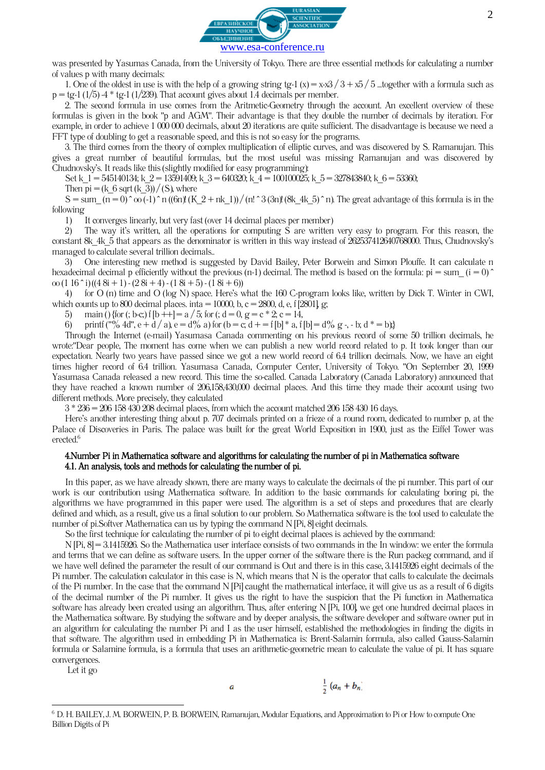

was presented by Yasumas Canada, from the University of Tokyo. There are three essential methods for calculating a number of values p with many decimals:

1. One of the oldest in use is with the help of a growing string tg-1 (x) = x-x3 / 3 + x5 / 5 ...together with a formula such as  $p = tg-1 (1/5) -4 * tg-1 (1/239)$ . That account gives about 1.4 decimals per member.

2. The second formula in use comes from the Aritmetic-Geometry through the account. An excellent overview of these formulas is given in the book "p and AGM". Their advantage is that they double the number of decimals by iteration. For example, in order to achieve 1 000 000 decimals, about 20 iterations are quite sufficient. The disadvantage is because we need a FFT type of doubling to get a reasonable speed, and this is not so easy for the programs.

3. The third comes from the theory of complex multiplication of elliptic curves, and was discovered by S. Ramanujan. This gives a great number of beautiful formulas, but the most useful was missing Ramanujan and was discovered by Chudnovsky's. It reads like this (slightly modified for easy programming):

Set k  $1 = 545140134$ ; k  $2 = 13591409$ ; k  $3 = 640320$ ; k  $4 = 100100025$ ; k  $5 = 327843840$ ; k  $6 = 53360$ ;

Then  $pi = (k_6 \sqrt{6} \sqrt{k_3})/(S)$ , where

 $S = \text{sum}$   $(n = 0)$   $\infty$   $(0.1)$   $\infty$   $n$  ((6n)! (K\_2 + nk\_1)) / (n!  $\infty$  3 (3n)! (8k\_4k\_5)  $\infty$  n). The great advantage of this formula is in the following

1) It converges linearly, but very fast (over 14 decimal places per member)

2) The way it's written, all the operations for computing S are written very easy to program. For this reason, the constant 8k\_4k\_5 that appears as the denominator is written in this way instead of 262537412640768000. Thus, Chudnovsky's managed to calculate several trillion decimals..

3) One interesting new method is suggested by David Bailey, Peter Borwein and Simon Plouffe. It can calculate n hexadecimal decimal p efficiently without the previous (n-1) decimal. The method is based on the formula:  $pi = sum$  (i = 0)  $\hat{ }$  $\omega$  (1 16 ^ i) ((4 8i + 1) - (2 8i + 4) - (1 8i + 5) - (1 8i + 6))

4) for O (n) time and O (log N) space. Here's what the 160 C-program looks like, written by Dick T. Winter in CWI, which counts up to 800 decimal places. inta = 10000, b, c = 2800, d, e, f [2801], g;

5) main () {for (; b-c;) f  $[b +1] = a / 5$ ; for (; d = 0, g = c \* 2; c = 14,

6) printf ("% 4d", e + d / a), e = d% a) for (b = c; d + = f [b] \* a, f [b] = d% g -, - b; d \* = b)}

Through the Internet (e-mail) Yasumasa Canada commenting on his previous record of some 50 trillion decimals, he wrote:"Dear people, The moment has come when we can publish a new world record related to p. It took longer than our expectation. Nearly two years have passed since we got a new world record of 6.4 trillion decimals. Now, we have an eight times higher record of 6.4 trillion. Yasumasa Canada, Computer Center, University of Tokyo. "On September 20, 1999 Yasumasa Canada released a new record. This time the so-called. Canada Laboratory (Canada Laboratory) announced that they have reached a known number of 206,158,430,000 decimal places. And this time they made their account using two different methods. More precisely, they calculated

3 \* 236 = 206 158 430 208 decimal places, from which the account matched 206 158 430 16 days.

Here's another interesting thing about p. 707 decimals printed on a frieze of a round room, dedicated to number p, at the Palace of Discoveries in Paris. The palace was built for the great World Exposition in 1900, just as the Eiffel Tower was erected.<sup>6</sup>

### 4.Number Pi in Mathematica software and algorithms for calculating the number of pi in Mathematica software 4.1. An analysis, tools and methods for calculating the number of pi.

In this paper, as we have already shown, there are many ways to calculate the decimals of the pi number. This part of our work is our contribution using Mathematica software. In addition to the basic commands for calculating boring pi, the algorithms we have programmed in this paper were used. The algorithm is a set of steps and procedures that are clearly defined and which, as a result, give us a final solution to our problem. So Mathematica software is the tool used to calculate the number of pi.Softver Mathematica can us by typing the command N [Pi, 8] eight decimals.

So the first technique for calculating the number of pi to eight decimal places is achieved by the command:

N [Pi, 8] = 3.1415926. So the Mathematica user interface consists of two commands in the In window: we enter the formula and terms that we can define as software users. In the upper corner of the software there is the Run packeg command, and if we have well defined the parameter the result of our command is Out and there is in this case, 3.1415926 eight decimals of the Pi number. The calculation calculator in this case is N, which means that N is the operator that calls to calculate the decimals of the Pi number. In the case that the command N [Pi] caught the mathematical interface, it will give us as a result of 6 digits of the decimal number of the Pi number. It gives us the right to have the suspicion that the Pi function in Mathematica software has already been created using an algorithm. Thus, after entering N [Pi, 100], we get one hundred decimal places in the Mathematica software. By studying the software and by deeper analysis, the software developer and software owner put in an algorithm for calculating the number Pi and I as the user himself, established the methodologies in finding the digits in that software. The algorithm used in embedding Pi in Mathematica is: Brent-Salamin formula, also called Gauss-Salamin formula or Salamine formula, is a formula that uses an arithmetic-geometric mean to calculate the value of pi. It has square convergences.

Let it go

**.** 

$$
\frac{1}{2}(a_n+b_n
$$

a

<sup>6</sup> D. H. BAILEY, J. M. BORWEIN, P. B. BORWEIN, Ramanujan, Modular Equations, and Approximation to Pi or How to compute One Billion Digits of Pi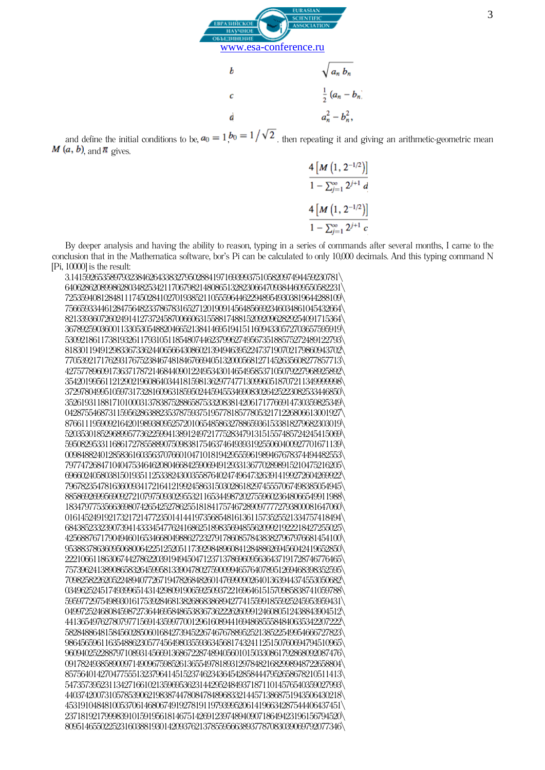

and define the initial conditions to be,  $a_0 = 1$ ,  $b_0 = 1/\sqrt{2}$ , then repeating it and giving an arithmetic-geometric mean  $M(a, b)$  and  $\pi$  gives.

$$
\frac{4 [M (1, 2^{-1/2})]}{1 - \sum_{j=1}^{\infty} 2^{j+1} d}
$$

$$
\frac{4 [M (1, 2^{-1/2})]}{1 - \sum_{j=1}^{\infty} 2^{j+1} c}
$$

By deeper analysis and having the ability to reason, typing in a series of commands after several months, I came to the conclusion that in the Mathematica software, bor's Pi can be calculated to only 10,000 decimals. And this typing command N [Pi, 10000] is the result:

3.14159265358979323846264338327950288419716939937510582097494459230781\ 6406286208998628034825342117067982148086513282306647093844609550582231\ 7253594081284811174502841027019385211055596446229489549303819644288109\ 7566593344612847564823378678316527120190914564856692346034861045432664\ 8213393607260249141273724587006606315588174881520920962829254091715364\ 3678925903600113305305488204665213841469519415116094330572703657595919\ 5309218611738193261179310511854807446237996274956735188575272489122793\ 8183011949129833673362440656643086021394946395224737190702179860943702\ 7705392171762931767523846748184676694051320005681271452635608277857713\ 4275778960917363717872146844090122495343014654958537105079227968925892\ 3542019956112129021960864034418159813629774771309960518707211349999998\ 3729780499510597317328160963185950244594553469083026425223082533446850\ 3526193118817101000313783875288658753320838142061717766914730359825349\ 0428755468731159562863882353787593751957781857780532171226806613001927 8766111959092164201989380952572010654858632788659361533818279682303019\ 5203530185296899577362259941389124972177528347913151557485724245415069\ 5950829533116861727855889075098381754637464939319255060400927701671139\ 0098488240128583616035637076601047101819429555961989467678374494482553\ 7977472684710404753464620804668425906949129331367702898915210475216205\ 6966024058038150193511253382430035587640247496473263914199272604269922\ 7967823547816360093417216412199245863150302861829745557067498385054945\ 8858692699569092721079750930295532116534498720275596023648066549911988\ 1834797753566369807426542527862551818417574672890977772793800081647060\ 0161452491921732172147723501414419735685481613611573525521334757418494\ 6843852332390739414333454776241686251898356948556209921922218427255025\ 4256887671790494601653466804988627232791786085784383827967976681454100\ 9538837863609506800642251252051173929848960841284886269456042419652850\ 2221066118630674427862203919494504712371378696095636437191728746776465\ 7573962413890865832645995813390478027590099465764078951269468398352595\ 7098258226205224894077267194782684826014769909026401363944374553050682\ 0349625245174939965143142980919065925093722169646151570985838741059788\ 5959772975498930161753928468138268683868942774155991855925245953959431\ 0499725246808459872736446958486538367362226260991246080512438843904512\ 4413654976278079771569143599770012961608944169486855584840635342207222\ 5828488648158456028506016842739452267467678895252138522549954666727823\ 9864565961163548862305774564980355936345681743241125150760694794510965\ 9609402522887971089314566913686722874894056010150330861792868092087476\ 0917824938589009714909675985261365549781893129784821682998948722658804\ 8575640142704775551323796414515237462343645428584447952658678210511413\ 5473573952311342716610213596953623144295248493718711014576540359027993\ 4403742007310578539062198387447808478489683321445713868751943506430218\ 4531910484810053706146806749192781911979399520614196634287544406437451\ 2371819217999839101591956181467514269123974894090718649423196156794520\ 8095146550225231603881930142093762137855956638937787083039069792077346\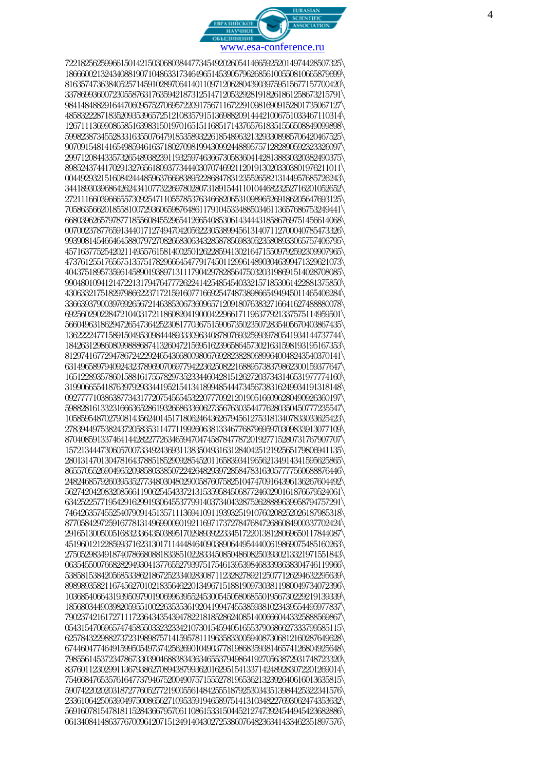

7221825625996615014215030680384477345492026054146659252014974428507325\ 1866600213243408819071048633173464965145390579626856100550810665879699\ 8163574736384052571459102897064140110971206280439039759515677157700420\ 3378699360072305587631763594218731251471205329281918261861258673215791 \ 9841484882916447060957527069572209175671167229109816909152801735067127\ 4858322287183520935396572512108357915136988209144421006751033467110314\ 1267111369908658516398315019701651511685171437657618351556508849099898\ 5998238734552833163550764791853589322618548963213293308985706420467525\ 9070915481416549859461637180270981994309924488957571282890592323326097\ 2997120844335732654893823911932597463667305836041428138830320382490375\ 8985243744170291327656180937734440307074692112019130203303801976211011 \ 0044929321516084244485963766983895228684783123552658213144957685726243\ 3441893039686426243410773226978028073189154411010446823252716201052652\ 2721116603966655730925471105578537634668206531098965269186205647693125\ 7058635662018558100729360659876486117910453348850346113657686753249441 \ 6680396265797877185560845529654126654085306143444318586769751456614068\ 0070023787765913440171274947042056223053899456131407112700040785473326\ 9939081454664645880797270826683063432858785698305235808933065757406795\ 4571637752542021149557615814002501262285941302164715509792592309907965\ 4737612551765675135751782966645477917450112996148903046399471329621073\ 4043751895735961458901938971311179042978285647503203198691514028708085\ 9904801094121472213179476477726224142548545403321571853061422881375850\ 4306332175182979866223717215916077166925474873898665494945011465406284\ 3366393790039769265672146385306736096571209180763832716641627488880078\ 6925602902284721040317211860820419000422966171196377921337575114959501 \ 5660496318629472654736425230817703675159067350235072835405670403867435\ 1362222477158915049530984448933309634087807693259939780541934144737744\ 1842631298608099888687413260472156951623965864573021631598193195167353\ 8129741677294786724229246543668009806769282382806899640048243540370141 \ 6314965897940924323789690706977942236250822168895738379862300159377647\ 1651228935786015881617557829735233446042815126272037343146531977774160\ 3199066554187639792933441952154134189948544473456738316249934191318148\ 0927777103863877343177207545654532207770921201905166096280490926360197\ 5988281613323166636528619326686336062735676303544776280350450777235547\ 1058595487027908143562401451718062464362679456127531813407833033625423\ 2783944975382437205835311477119926063813346776879695970309833913077109\ 8704085913374641442822772634659470474587847787201927715280731767907707\ 1572134447306057007334924369311383504931631284042512192565179806941135\ 2801314701304781643788518529092854520116583934196562134914341595625865\ 8655705526904965209858033850722426482939728584783163057777560688876446\ 2482468579260395352773480304802900587607582510474709164396136267604492\ 5627420420832085661190625454337213153595845068772460290161876679524061 \ 6342522577195429162991930645537799140373404328752628889639958794757291 \ 7464263574552540790914513571113694109119393251910760208252026187985318\ 8770584297259167781314969900901921169717372784768472686084900337702424\ 2916513005005168323364350389517029893922334517220138128069650117844087\ 4519601212285993716231301711444846409038906449544400619869075485160263\ 2750529834918740786680881833851022833450850486082503930213321971551843\ 0635455007668282949304137765527939751754613953984683393638304746119966\ 5385815384205685338621867252334028308711232827892125077126294632295639\ 8989893582116745627010218356462201349671518819097303811980049734072396\ 1036854066431939509790190699639552453005450580685501956730229219139339\ 1856803449039820595510022635353619204199474553859381023439554495977837\ 7902374216172711172364343543947822181852862408514006660443325888569867\ 0543154706965747458550332323342107301545940516553790686627333799585115\ 6257843229882737231989875714159578111963583300594087306812160287649628\ 6744604774649159950549737425626901049037781986835938146574126804925648\ 7985561453723478673303904688383436346553794986419270563872931748723320\ 8376011230299113679386270894387993620162951541337142489283072201269014\ 7546684765357616477379467520049075715552781965362132392640616013635815\ 5907422020203187277605277219005561484255518792530343513984425322341576\ 2336106425063904975008656271095359194658975141310348227693062474353632\ 5691607815478181152843667957061108615331504452127473924544945423682886\ 0613408414863776700961207151249140430272538607648236341433462351897576\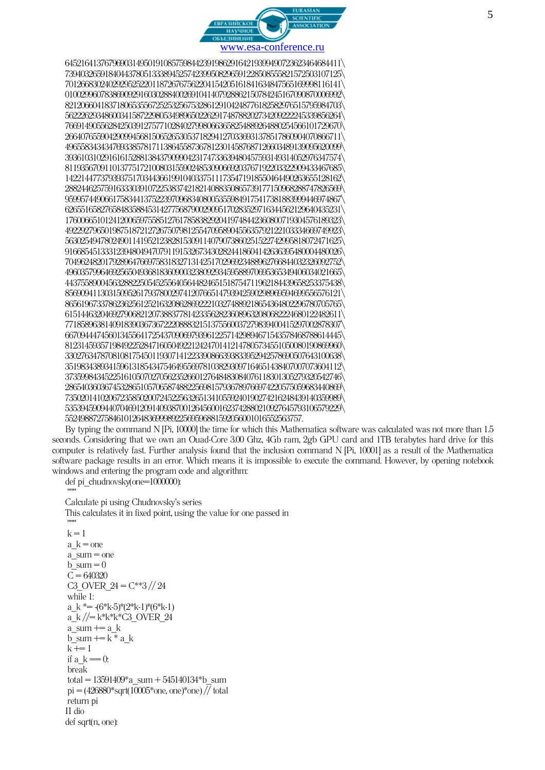

6452164137679690314950191085759844239198629164219399490723623464684411\ 7394032659184044378051333894525742399508296591228508555821572503107125\ 7012668302402929525220118726767562204154205161841634847565169998116141\ 0100299607838690929160302884002691041407928862150784245167090870006992\ 8212066041837180653556725253256753286129104248776182582976515795984703\ 5622262934860034158722980534989650226291748788202734209222245339856264\ 7669149055628425039127577102840279980663658254889264880254566101729670\ 2664076559042909945681506526530537182941270336931378517860904070866711\ 4965583434347693385781711386455873678123014587687126603489139095620099\ 3936103102916161528813843790990423174733639480457593149314052976347574\ 8119356709110137751721008031559024853090669203767192203322909433467685\ 1422144773793937517034436619910403375111735471918550464490263655128162\ 2882446257591633303910722538374218214088350865739177150968288747826569\ 9599574490661758344137522397096834080053559849175417381883999446974867\ 6265516582765848358845314277568790029095170283529716344562129640435231\ 1760066510124120065975585127617858382920419748442360800719304576189323\ 4922927965019875187212726750798125547095890455635792122103334669749923\ 5630254947802490114195212382815309114079073860251522742995818072471625\ 9166854513331239480494707911915326734302824418604142636395480004480026\ 7049624820179289647669758318327131425170296923488962766844032326092752\ 4960357996469256504936818360900323809293459588970695365349406034021665\ 4437558900456328822505452556405644824651518754711962184439658253375438\ 8569094113031509526179378002974120766514793942590298969594699556576121\ 8656196733786236256125216320862869222103274889218654364802296780705765\ 6151446320469279068212073883778142335628236089632080682224680122482611\ 7718589638140918390367367222088832151375560037279839400415297002878307\ 6670944474560134556417254370906979396122571429894671543578468788614445\ 8123145935719849225284716050492212424701412147805734551050080190869960\ 3302763478708108175450119307141223390866393833952942578690507643100638\ 3519834389341596131854347546495569781038293097164651438407007073604112\ 3735998434522516105070270562352660127648483084076118301305279320542746\ 2865403603674532865105706587488225698157936789766974220575059683440869\ 7350201410206723585020072452256326513410559240190274216248439140359989\ 5353945909440704691209140938700126456001623742880210927645793106579229\ 552498872758461012648369998922569596881592056001016552563757.

By typing the command N [Pi, 10000] the time for which this Mathematica software was calculated was not more than 1.5 seconds. Considering that we own an Ouad-Core 3.00 Ghz, 4Gb ram, 2gb GPU card and 1TB terabytes hard drive for this computer is relatively fast. Further analysis found that the inclusion command N [Pi, 10001] as a result of the Mathematica software package results in an error. Which means it is impossible to execute the command. However, by opening notebook windows and entering the program code and algorithm:

def pi\_chudnovsky(one=1000000):

""" Calculate pi using Chudnovsky's series

This calculates it in fixed point, using the value for one passed in

```
"""
k = 1a k =one
a sum = oneb sum = 0C = 640320C3 OVER 24 = C^{**}3 // 24while 1:
a k^* = (6*k-5)*(2*k-1)*(6*k-1)a_k //= k*k*k*C3_OVER_24
a_sum += a kb_sum += k * a kk + = 1if a k = 0:
break
total = 13591409^*a sum + 545140134*b sum
pi = (426880*sqrt(10005*one, one)*one) // totalreturn pi
II dio
def sart(n, one):
```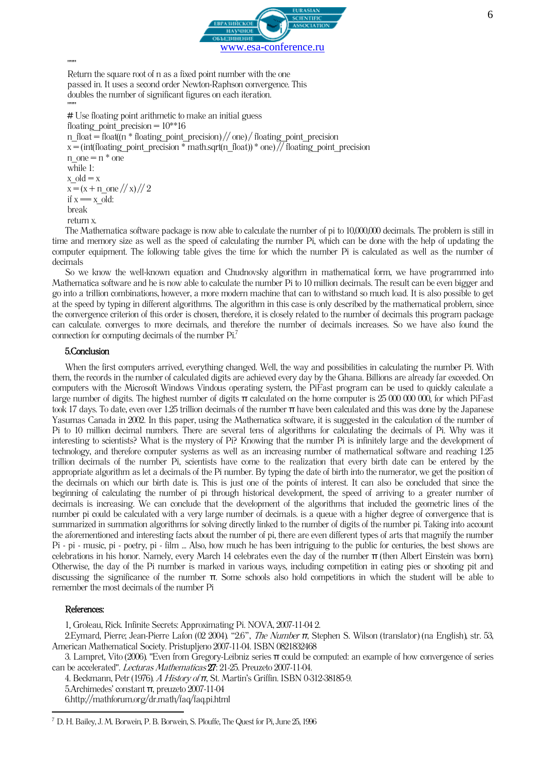

"""

Return the square root of n as a fixed point number with the one passed in. It uses a second order Newton-Raphson convergence.This doubles the number of significant figures on each iteration.

""" # Use floating point arithmetic to make an initial guess

```
floating point precision = 10^{**}16n_float = float\frac{d(n * f \cdot \text{floating point precision})}{d(n * f \cdot \text{domain point precision})} floating point precision
x = (int(floating) point precision * math.sqrt(n_float)) * one) // floating-point precisionn_one = n * one
while 1:
x old = xx = (x + n \text{ one } // x) // 2if x = x old:
break
return x.
```
The Mathematica software package is now able to calculate the number of pi to 10,000,000 decimals. The problem is still in time and memory size as well as the speed of calculating the number Pi, which can be done with the help of updating the computer equipment. The following table gives the time for which the number Pi is calculated as well as the number of decimals

So we know the well-known equation and Chudnovsky algorithm in mathematical form, we have programmed into Mathematica software and he is now able to calculate the number Pi to 10 million decimals. The result can be even bigger and go into a trillion combinations, however, a more modern machine that can to withstand so much load. It is also possible to get at the speed by typing in different algorithms. The algorithm in this case is only described by the mathematical problem, since the convergence criterion of this order is chosen, therefore, it is closely related to the number of decimals this program package can calculate. converges to more decimals, and therefore the number of decimals increases. So we have also found the connection for computing decimals of the number Pi.<sup>7</sup>

#### 5.Conclusion

When the first computers arrived, everything changed. Well, the way and possibilities in calculating the number Pi. With them, the records in the number of calculated digits are achieved every day by the Ghana. Billions are already far exceeded. On computers with the Microsoft Windows Vindous operating system, the PiFast program can be used to quickly calculate a large number of digits. The highest number of digits  $\pi$  calculated on the home computer is 25 000 000 000, for which PiFast took 17 days. To date, even over 1.25 trillion decimals of the number π have been calculated and this was done by the Japanese Yasumas Canada in 2002. In this paper, using the Mathematica software, it is suggested in the calculation of the number of Pi to 10 million decimal numbers. There are several tens of algorithms for calculating the decimals of Pi. Why was it interesting to scientists? What is the mystery of Pi? Knowing that the number Pi is infinitely large and the development of technology, and therefore computer systems as well as an increasing number of mathematical software and reaching 1.25 trillion decimals of the number Pi, scientists have come to the realization that every birth date can be entered by the appropriate algorithm as let a decimals of the Pi number. By typing the date of birth into the numerator, we get the position of the decimals on which our birth date is. This is just one of the points of interest. It can also be concluded that since the beginning of calculating the number of pi through historical development, the speed of arriving to a greater number of decimals is increasing. We can conclude that the development of the algorithms that included the geometric lines of the number pi could be calculated with a very large number of decimals. is a queue with a higher degree of convergence that is summarized in summation algorithms for solving directly linked to the number of digits of the number pi. Taking into account the aforementioned and interesting facts about the number of pi, there are even different types of arts that magnify the number Pi - pi - music, pi - poetry, pi - film ... Also, how much he has been intriguing to the public for centuries, the best shows are celebrations in his honor. Namely, every March 14 celebrates even the day of the number π (then Albert Einstein was born). Otherwise, the day of the Pi number is marked in various ways, including competition in eating pies or shooting pit and discussing the significance of the number π. Some schools also hold competitions in which the student will be able to remember the most decimals of the number Pi

## References:

**.** 

1. Groleau, Rick[. Infinite Secrets: Approximating Pi.](http://www.pbs.org/wgbh/nova/archimedes/pi.html) NOVA, 2007-11-04 2.

2.Eymard, Pierre; Jean-Pierre Lafon (02 2004). "2.6", [The Number](http://books.google.com/books?id=qZcCSskdtwcC&pg=PA53&dq=leibniz+pi&ei=uFsuR5fOAZTY7QLqouDpCQ&sig=k8VlN5VTxcX9a6Ewc71OCGe_5jk) *π*, Stephen S. Wilson (translator) (na English), str. 53, American Mathematical Society. Pristupljeno 2007-11-04. [ISBN 0821832468](https://hr.wikipedia.org/wiki/Posebno:Tra%C5%BEi_ISBN/0821832468)

3. Lampret, Vito (2006). "Even from Gregory-Leibniz series π [could be computed: an example of how convergence of series](http://www.scm.org.co/Articulos/832.pdf)  [can be accelerated".](http://www.scm.org.co/Articulos/832.pdf) Lecturas Mathematicas 27: 21-25. Preuzeto 2007-11-04.

4. [Beckmann, Petr](https://hr.wikipedia.org/w/index.php?title=Petr_Beckmann&action=edit&redlink=1) (1976). A History of *π*[, St. Martin's Griffin.](https://hr.wikipedia.org/w/index.php?title=St._Martin%27s_Press&action=edit&redlink=1) [ISBN 0-312-38185-9.](https://hr.wikipedia.org/wiki/Posebno:Tra%C5%BEi_ISBN/0312381859) 

[5.Archimedes' constant](http://numbers.computation.free.fr/Constants/Pi/pi.html) π, preuzeto 2007-11-04

[6.http://mathforum.org/dr.math/faq/faq.pi.html](http://mathforum.org/dr.math/faq/faq.pi.html)

<sup>7</sup> D. H. Bailey, J. M. Borwein, P. B. Borwein, S. Plouffe, The Quest for Pi, June 25, 1996